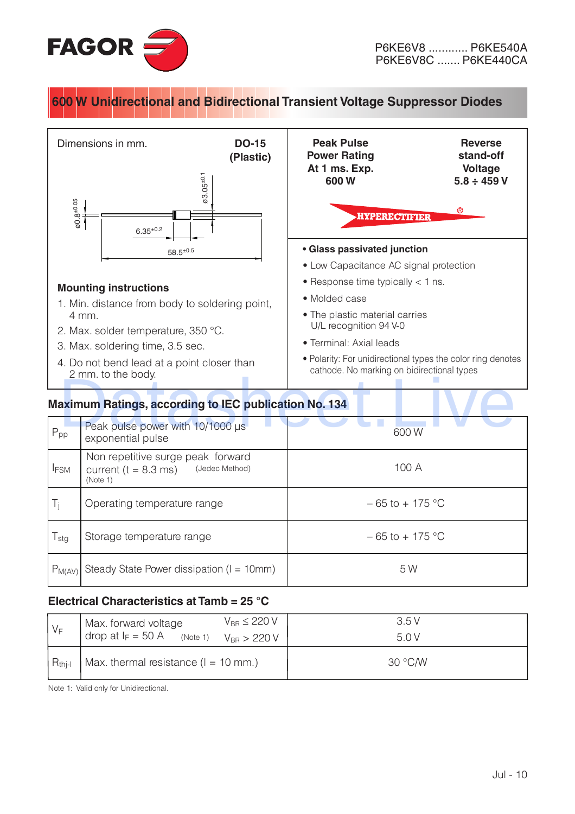

## **600 W Unidirectional and Bidirectional Transient Voltage Suppressor Diodes**



## **Electrical Characteristics at Tamb = 25 °C**

| $V_F$       | $V_{BB} \leq 220 V$<br>Max. forward voltage<br>drop at $I_F = 50$ A<br>(Note 1) $V_{\text{BR}} > 220 V$ | 3.5 V<br>5.0V |
|-------------|---------------------------------------------------------------------------------------------------------|---------------|
| $R_{thi-l}$ | Max. thermal resistance $(l = 10$ mm.)                                                                  | 30 °C/W       |

Note 1: Valid only for Unidirectional.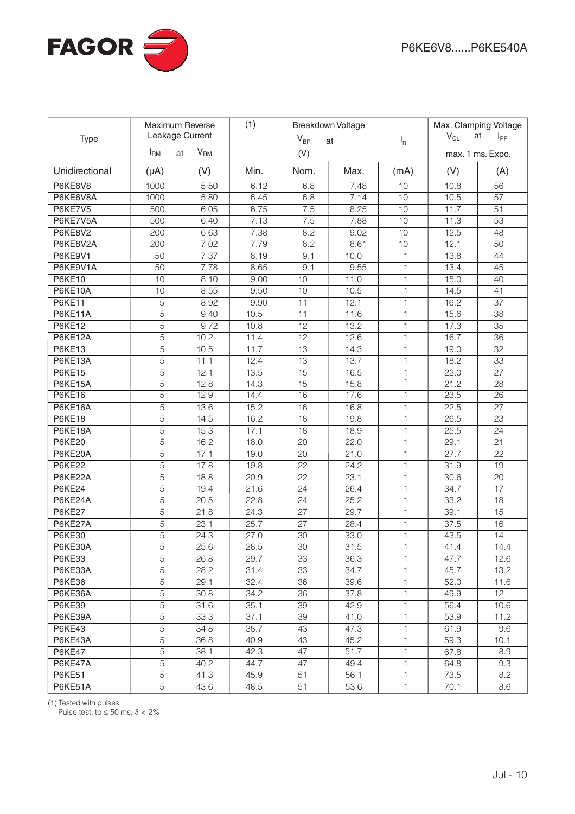

| Maximum Reverse<br>Leakage Current<br>Type |                |                         | (1)<br>Breakdown Voltage<br>$V_{BR}$<br>at |                 |              |              | Max. Clamping Voltage<br>$V_{CL}$<br>at<br>$I_{PP}$<br>$I_R$ |                  |
|--------------------------------------------|----------------|-------------------------|--------------------------------------------|-----------------|--------------|--------------|--------------------------------------------------------------|------------------|
|                                            | $I_{\rm RM}$   | $V_{\mathsf{RM}}$<br>at |                                            | (V)             |              |              |                                                              | max. 1 ms. Expo. |
| Unidirectional                             | $(\mu A)$      | (V)                     | Min.                                       | Nom.            | Max.         | (mA)         | (V)                                                          | (A)              |
| P6KE6V8                                    | 1000           | 5.50                    | 6.12                                       | 6.8             | 7.48         | 10           | 10.8                                                         | 56               |
| P6KE6V8A                                   | 1000           | 5.80                    | 6.45                                       | 6.8             | 7.14         | 10           | 10.5                                                         | 57               |
| P6KE7V5                                    | 500            | 6.05                    | 6.75                                       | 7.5             | 8.25         | 10           | 11.7                                                         | 51               |
| P6KE7V5A                                   | 500            | 6.40                    | 7.13                                       | 7.5             | 7.88         | 10           | 11.3                                                         | 53               |
| P6KE8V2                                    | 200            | 6.63                    | 7.38                                       | 8.2             | 9.02         | 10           | 12.5                                                         | 48               |
| P6KE8V2A                                   | 200            | 7.02                    | 7.79                                       | 8.2             | 8.61         | 10           | 12.1                                                         | 50               |
| P6KE9V1                                    | 50             | 7.37                    | 8.19                                       | 9.1             | 10.0         | $\mathbf{1}$ | 13.8                                                         | 44               |
| P6KE9V1A                                   | 50             | 7.78                    | 8.65                                       | 9.1             | 9.55         | $\mathbf{1}$ | 13.4                                                         | 45               |
| <b>P6KE10</b>                              | 10             | 8.10                    | 9.00                                       | 10              | 11.0         | $\mathbf{1}$ | 15.0                                                         | 40               |
| P6KE10A                                    | 10             | 8.55                    | 9.50                                       | 10              | 10.5         | 1            | 14.5                                                         | 41               |
| <b>P6KE11</b>                              | 5              | 8.92                    | 9.90                                       | 11              | 12.1         | 1            | 16.2                                                         | 37               |
| P6KE11A                                    | 5              | 9.40                    | 10.5                                       | 11              | 11.6         | $\mathbf{1}$ | 15.6                                                         | 38               |
| <b>P6KE12</b>                              | 5              | 9.72                    | 10.8                                       | $\overline{12}$ | 13.2         | $\mathbf{1}$ | 17.3                                                         | $\overline{35}$  |
| <b>P6KE12A</b>                             | 5              | 10.2                    | 11.4                                       | 12              | 12.6         | $\mathbf{1}$ | 16.7                                                         | $\overline{36}$  |
| <b>P6KE13</b>                              | 5              | 10.5                    | 11.7                                       | 13              | 14.3         | 1            | 19.0                                                         | 32               |
| P6KE13A                                    | 5              | 11.1                    | 12.4                                       | 13              | 13.7         | 1            | 18.2                                                         | 33               |
| <b>P6KE15</b>                              | 5              | 12.1                    | 13.5                                       | 15              | 16.5         | 1            | 22.0                                                         | 27               |
| P6KE15A                                    | 5              | 12.8                    | 14.3                                       | 15              | 15.8         | 1            | 21.2                                                         | 28               |
| <b>P6KE16</b>                              | 5              | 12.9                    | 14.4                                       | 16              | 17.6         | $\mathbf{1}$ | 23.5                                                         | $\overline{26}$  |
| P6KE16A                                    | $\overline{5}$ | 13.6                    | 15.2                                       | 16              | 16.8         | 1            | 22.5                                                         | 27               |
| <b>P6KE18</b>                              | $\overline{5}$ | 14.5                    | 16.2                                       | 18              | 19.8         | 1            | 26.5                                                         | $\overline{23}$  |
| P6KE18A                                    | 5              | 15.3                    | 17.1                                       | 18              | 18.9         | $\mathbf{1}$ | 25.5                                                         | 24               |
| <b>P6KE20</b>                              | 5              | 16.2                    | 18.0                                       | 20              | 22.0         | $\mathbf{1}$ | 29.1                                                         | $\overline{21}$  |
| P6KE20A                                    | 5              | 17.1                    | 19.0                                       | 20              | 21.0         | $\mathbf{1}$ | 27.7                                                         | $\overline{22}$  |
| <b>P6KE22</b>                              | 5              | 17.8                    | 19.8                                       | $\overline{22}$ | 24.2         | $\mathbf{1}$ | 31.9                                                         | 19               |
| P6KE22A                                    | 5              | 18.8                    | 20.9                                       | $\overline{22}$ | 23.1         | $\mathbf{1}$ | 30.6                                                         | 20               |
| <b>P6KE24</b>                              | 5              | 19.4                    | 21.6                                       | 24              | 26.4         | $\mathbf{1}$ | 34.7                                                         | $\overline{17}$  |
| P6KE24A                                    | $\overline{5}$ | 20.5                    | 22.8                                       | $\overline{24}$ | 25.2         | $\mathbf{1}$ | 33.2                                                         | 18               |
| <b>P6KE27</b>                              | 5              | 21.8                    | 24.3                                       | $\overline{27}$ | 29.7         | $\mathbf{1}$ | 39.1                                                         | 15               |
| P6KE27A                                    | $\overline{5}$ | 23.1                    | 25.7                                       | 27              | 28.4         | 1            | 37.5                                                         | 16               |
| <b>P6KE30</b>                              | 5              | 24.3                    | 27.0                                       | 30              | 33.0         | 1            | 43.5                                                         | 14               |
| P6KE30A                                    | 5              | 25.6                    | 28.5                                       | 30              | 31.5         | 1            | 41.4                                                         | 14.4             |
| <b>P6KE33</b><br>P6KE33A                   | 5<br>5         | 26.8<br>28.2            | 29.7<br>31.4                               | 33<br>33        | 36.3<br>34.7 | 1<br>1       | 47.7<br>45.7                                                 | 12.6<br>13.2     |
| <b>P6KE36</b>                              | $\overline{5}$ | 29.1                    | 32.4                                       | 36              | 39.6         | 1            | 52.0                                                         | 11.6             |
| P6KE36A                                    | $\overline{5}$ | 30.8                    | 34.2                                       | 36              | 37.8         | 1            | 49.9                                                         | 12 <sup>°</sup>  |
| <b>P6KE39</b>                              | $\overline{5}$ | 31.6                    | 35.1                                       | 39              | 42.9         | 1            | 56.4                                                         | 10.6             |
| P6KE39A                                    | $\overline{5}$ | 33.3                    | 37.1                                       | 39              | 41.0         | 1            | 53.9                                                         | 11.2             |
| <b>P6KE43</b>                              | $\overline{5}$ | 34.8                    | 38.7                                       | 43              | 47.3         | 1            | 61.9                                                         | 9.6              |
| P6KE43A                                    | $\overline{5}$ | 36.8                    | 40.9                                       | 43              | 45.2         | 1            | 59.3                                                         | 10.1             |
| <b>P6KE47</b>                              | $\overline{5}$ | 38.1                    | 42.3                                       | 47              | 51.7         | 1            | 67.8                                                         | 8.9              |
| P6KE47A                                    | $\overline{5}$ | 40.2                    | 44.7                                       | 47              | 49.4         | 1            | 64.8                                                         | 9.3              |
| <b>P6KE51</b>                              | 5              | 41.3                    | 45.9                                       | 51              | 56.1         | 1            | 73.5                                                         | 8.2              |
| P6KE51A                                    | 5              | 43.6                    | 48.5                                       | 51              | 53.6         | 1            | 70.1                                                         | 8.6              |
|                                            |                |                         |                                            |                 |              |              |                                                              |                  |

(1) Tested with pulses.

Pulse test: tp  $\leq$  50 ms;  $\delta$  < 2%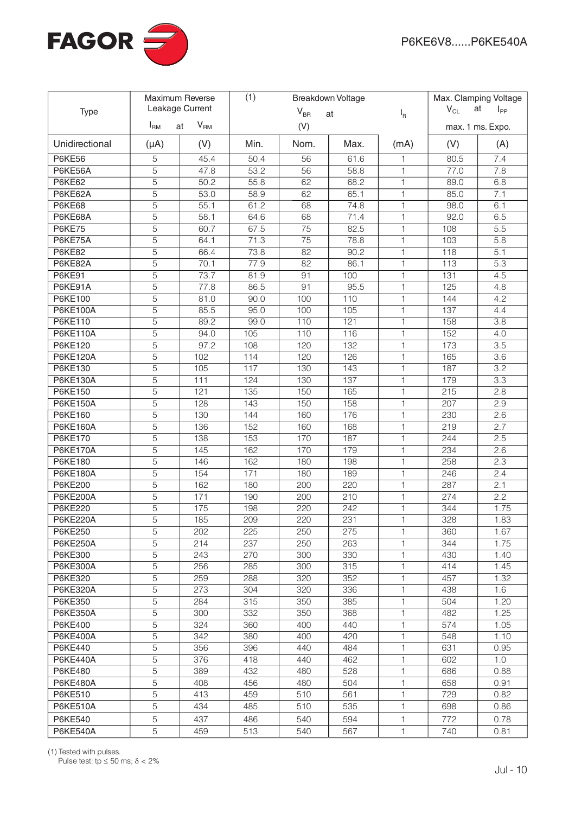

|                 | <b>Maximum Reverse</b><br>Leakage Current |                       | (1)<br>Breakdown Voltage<br>$V_{BR}$<br>at<br>$I_R$ |      |      | Max. Clamping Voltage |                  |          |
|-----------------|-------------------------------------------|-----------------------|-----------------------------------------------------|------|------|-----------------------|------------------|----------|
| <b>Type</b>     |                                           |                       |                                                     |      |      |                       | $V_{CL}$<br>at   | $I_{PP}$ |
|                 | I <sub>RM</sub>                           | V <sub>RM</sub><br>at | (V)                                                 |      |      |                       | max. 1 ms. Expo. |          |
| Unidirectional  | $(\mu A)$                                 | (V)                   | Min.                                                | Nom. | Max. | (mA)                  | (V)              | (A)      |
| <b>P6KE56</b>   | $\overline{5}$                            | 45.4                  | 50.4                                                | 56   | 61.6 | 1                     | 80.5             | 7.4      |
| P6KE56A         | 5                                         | 47.8                  | 53.2                                                | 56   | 58.8 | 1                     | 77.0             | 7.8      |
| <b>P6KE62</b>   | 5                                         | 50.2                  | 55.8                                                | 62   | 68.2 | 1                     | 89.0             | 6.8      |
| P6KE62A         | 5                                         | 53.0                  | 58.9                                                | 62   | 65.1 | $\mathbf{1}$          | 85.0             | 7.1      |
| <b>P6KE68</b>   | 5                                         | 55.1                  | 61.2                                                | 68   | 74.8 | $\mathbf{1}$          | 98.0             | 6.1      |
| P6KE68A         | 5                                         | 58.1                  | 64.6                                                | 68   | 71.4 | 1                     | 92.0             | 6.5      |
| <b>P6KE75</b>   | 5                                         | 60.7                  | 67.5                                                | 75   | 82.5 | $\mathbf{1}$          | 108              | 5.5      |
| P6KE75A         | 5                                         | 64.1                  | 71.3                                                | 75   | 78.8 | $\mathbf{1}$          | 103              | 5.8      |
| <b>P6KE82</b>   | 5                                         | 66.4                  | 73.8                                                | 82   | 90.2 | $\mathbf{1}$          | 118              | 5.1      |
| P6KE82A         | 5                                         | 70.1                  | 77.9                                                | 82   | 86.1 | $\mathbf{1}$          | 113              | 5.3      |
| <b>P6KE91</b>   | 5                                         | 73.7                  | 81.9                                                | 91   | 100  | $\mathbf{1}$          | 131              | 4.5      |
| P6KE91A         | 5                                         | 77.8                  | 86.5                                                | 91   | 95.5 | $\mathbf{1}$          | 125              | 4.8      |
| P6KE100         | 5                                         | 81.0                  | 90.0                                                | 100  | 110  | $\mathbf{1}$          | 144              | 4.2      |
| P6KE100A        | 5                                         | 85.5                  | 95.0                                                | 100  | 105  | $\mathbf{1}$          | 137              | 4.4      |
| P6KE110         | 5                                         | 89.2                  | 99.0                                                | 110  | 121  | $\mathbf{1}$          | 158              | 3.8      |
| <b>P6KE110A</b> | 5                                         | 94.0                  | 105                                                 | 110  | 116  | 1                     | 152              | 4.0      |
| P6KE120         | 5                                         | 97.2                  | 108                                                 | 120  | 132  | 1                     | 173              | 3.5      |
| <b>P6KE120A</b> | $\overline{5}$                            | 102                   | 114                                                 | 120  | 126  | 1                     | 165              | 3.6      |
| <b>P6KE130</b>  | 5                                         | 105                   | 117                                                 | 130  | 143  | 1                     | 187              | 3.2      |
| <b>P6KE130A</b> | 5                                         | 111                   | 124                                                 | 130  | 137  | 1                     | 179              | 3.3      |
| <b>P6KE150</b>  | 5                                         | 121                   | 135                                                 | 150  | 165  | 1                     | 215              | 2.8      |
| <b>P6KE150A</b> | 5                                         | 128                   | 143                                                 | 150  | 158  | 1                     | 207              | 2.9      |
| P6KE160         | 5                                         | 130                   | 144                                                 | 160  | 176  | 1                     | 230              | 2.6      |
| <b>P6KE160A</b> | $\overline{5}$                            | 136                   | 152                                                 | 160  | 168  | $\mathbf{1}$          | 219              | 2.7      |
| <b>P6KE170</b>  | $\overline{5}$                            | 138                   | 153                                                 | 170  | 187  | $\mathbf{1}$          | 244              | 2.5      |
| <b>P6KE170A</b> | 5                                         | 145                   | 162                                                 | 170  | 179  | $\mathbf{1}$          | 234              | 2.6      |
| P6KE180         | 5                                         | 146                   | 162                                                 | 180  | 198  | $\mathbf{1}$          | 258              | 2.3      |
| P6KE180A        | 5                                         | 154                   | 171                                                 | 180  | 189  | $\mathbf{1}$          | 246              | 2.4      |
| P6KE200         | 5                                         | 162                   | 180                                                 | 200  | 220  | $\mathbf{1}$          | 287              | 2.1      |
| <b>P6KE200A</b> | 5                                         | 171                   | 190                                                 | 200  | 210  | $\mathbf{1}$          | 274              | 2.2      |
| <b>P6KE220</b>  | 5                                         | 175                   | 198                                                 | 220  | 242  | 1                     | 344              | 1.75     |
| <b>P6KE220A</b> | 5                                         | 185                   | 209                                                 | 220  | 231  | $\mathbf{1}$          | 328              | 1.83     |
| P6KE250         | 5                                         | 202                   | 225                                                 | 250  | 275  | $\mathbf{1}$          | 360              | 1.67     |
| <b>P6KE250A</b> | $\overline{5}$                            | 214                   | 237                                                 | 250  | 263  | 1                     | 344              | 1.75     |
| P6KE300         | 5                                         | 243                   | 270                                                 | 300  | 330  | 1                     | 430              | 1.40     |
| <b>P6KE300A</b> | 5                                         | 256                   | 285                                                 | 300  | 315  | 1                     | 414              | 1.45     |
| P6KE320         | 5                                         | 259                   | 288                                                 | 320  | 352  | 1                     | 457              | 1.32     |
| <b>P6KE320A</b> | 5                                         | 273                   | 304                                                 | 320  | 336  | 1                     | 438              | 1.6      |
| P6KE350         | 5                                         | 284                   | 315                                                 | 350  | 385  | 1                     | 504              | 1.20     |
| <b>P6KE350A</b> | 5                                         | 300                   | 332                                                 | 350  | 368  | 1                     | 482              | 1.25     |
| P6KE400         | 5                                         | 324                   | 360                                                 | 400  | 440  | 1                     | 574              | 1.05     |
| <b>P6KE400A</b> | 5                                         | 342                   | 380                                                 | 400  | 420  | 1                     | 548              | 1.10     |
| P6KE440         | 5                                         | 356                   | 396                                                 | 440  | 484  | 1                     | 631              | 0.95     |
| <b>P6KE440A</b> | 5                                         | 376                   | 418                                                 | 440  | 462  | $\mathbf{1}$          | 602              | 1.0      |
| P6KE480         | 5                                         | 389                   | 432                                                 | 480  | 528  | $\mathbf{1}$          | 686              | 0.88     |
| <b>P6KE480A</b> | 5                                         | 408                   | 456                                                 | 480  | 504  | $\mathbf{1}$          | 658              | 0.91     |
| P6KE510         | 5                                         | 413                   | 459                                                 | 510  | 561  | $\mathbf{1}$          | 729              | 0.82     |
| <b>P6KE510A</b> | 5                                         | 434                   | 485                                                 | 510  | 535  | 1                     | 698              | 0.86     |
| P6KE540         | 5                                         | 437                   | 486                                                 | 540  | 594  | 1                     | 772              | 0.78     |
| <b>P6KE540A</b> | 5                                         | 459                   | 513                                                 | 540  | 567  | 1                     | 740              | 0.81     |

(1) Tested with pulses.<br>Pulse test: tp ≤ 50 ms;  $\delta$  < 2%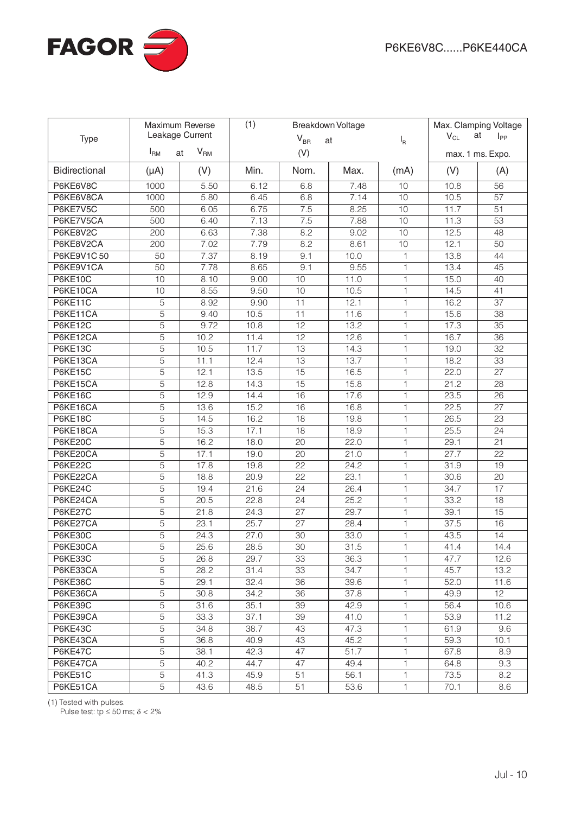

|                      |                | Maximum Reverse<br>Leakage Current |      | (1)<br>Breakdown Voltage |      |              | Max. Clamping Voltage<br>$V_{CL}$<br>at<br>$I_{PP}$ |                  |
|----------------------|----------------|------------------------------------|------|--------------------------|------|--------------|-----------------------------------------------------|------------------|
| Type                 | $I_{\rm RM}$   | $V_{\mathsf{RM}}$                  |      | $V_{BR}$                 | at   | $I_R$        |                                                     |                  |
|                      |                | at                                 |      | (V)                      |      |              |                                                     | max. 1 ms. Expo. |
| <b>Bidirectional</b> | $(\mu A)$      | (V)                                | Min. | Nom.                     | Max. | (mA)         | (V)                                                 | (A)              |
| P6KE6V8C             | 1000           | 5.50                               | 6.12 | 6.8                      | 7.48 | 10           | 10.8                                                | 56               |
| P6KE6V8CA            | 1000           | 5.80                               | 6.45 | 6.8                      | 7.14 | 10           | 10.5                                                | 57               |
| P6KE7V5C             | 500            | 6.05                               | 6.75 | 7.5                      | 8.25 | 10           | 11.7                                                | 51               |
| P6KE7V5CA            | 500            | 6.40                               | 7.13 | 7.5                      | 7.88 | 10           | 11.3                                                | 53               |
| P6KE8V2C             | 200            | 6.63                               | 7.38 | 8.2                      | 9.02 | 10           | 12.5                                                | 48               |
| P6KE8V2CA            | 200            | 7.02                               | 7.79 | 8.2                      | 8.61 | 10           | 12.1                                                | 50               |
| P6KE9V1C50           | 50             | 7.37                               | 8.19 | 9.1                      | 10.0 | $\mathbf{1}$ | 13.8                                                | 44               |
| P6KE9V1CA            | 50             | 7.78                               | 8.65 | 9.1                      | 9.55 | $\mathbf{1}$ | 13.4                                                | 45               |
| <b>P6KE10C</b>       | 10             | 8.10                               | 9.00 | 10                       | 11.0 | $\mathbf{1}$ | 15.0                                                | 40               |
| P6KE10CA             | 10             | 8.55                               | 9.50 | 10                       | 10.5 | $\mathbf{1}$ | 14.5                                                | 41               |
| P6KE11C              | $\overline{5}$ | 8.92                               | 9.90 | 11                       | 12.1 | $\mathbf{1}$ | 16.2                                                | 37               |
| P6KE11CA             | $\overline{5}$ | 9.40                               | 10.5 | 11                       | 11.6 | $\mathbf{1}$ | 15.6                                                | $\overline{38}$  |
| <b>P6KE12C</b>       | 5              | 9.72                               | 10.8 | $\overline{12}$          | 13.2 | $\mathbf{1}$ | 17.3                                                | $\overline{35}$  |
| P6KE12CA             | 5              | 10.2                               | 11.4 | $\overline{12}$          | 12.6 | $\mathbf{1}$ | 16.7                                                | 36               |
| <b>P6KE13C</b>       | 5              | 10.5                               | 11.7 | 13                       | 14.3 | $\mathbf{1}$ | 19.0                                                | 32               |
| P6KE13CA             | 5              | 11.1                               | 12.4 | 13                       | 13.7 | $\mathbf{1}$ | 18.2                                                | 33               |
| <b>P6KE15C</b>       | 5              | 12.1                               | 13.5 | 15                       | 16.5 | $\mathbf{1}$ | 22.0                                                | 27               |
| P6KE15CA             | 5              | 12.8                               | 14.3 | 15                       | 15.8 | $\mathbf{1}$ | 21.2                                                | 28               |
| <b>P6KE16C</b>       | 5              | 12.9                               | 14.4 | 16                       | 17.6 | $\mathbf{1}$ | 23.5                                                | 26               |
| P6KE16CA             | 5              | 13.6                               | 15.2 | 16                       | 16.8 | $\mathbf{1}$ | 22.5                                                | $\overline{27}$  |
| <b>P6KE18C</b>       | 5              | 14.5                               | 16.2 | 18                       | 19.8 | $\mathbf{1}$ | 26.5                                                | $\overline{23}$  |
| P6KE18CA             | 5              | 15.3                               | 17.1 | 18                       | 18.9 | $\mathbf{1}$ | 25.5                                                | 24               |
| <b>P6KE20C</b>       | $\overline{5}$ | 16.2                               | 18.0 | 20                       | 22.0 | $\mathbf{1}$ | 29.1                                                | 21               |
| P6KE20CA             | $\overline{5}$ | 17.1                               | 19.0 | 20                       | 21.0 | $\mathbf{1}$ | 27.7                                                | $\overline{22}$  |
| <b>P6KE22C</b>       | 5              | 17.8                               | 19.8 | $\overline{22}$          | 24.2 | $\mathbf{1}$ | 31.9                                                | 19               |
| P6KE22CA             | 5              | 18.8                               | 20.9 | $\overline{22}$          | 23.1 | $\mathbf{1}$ | 30.6                                                | $\overline{20}$  |
| <b>P6KE24C</b>       | $\overline{5}$ | 19.4                               | 21.6 | $\overline{24}$          | 26.4 | $\mathbf{1}$ | 34.7                                                | $\overline{17}$  |
| P6KE24CA             | $\overline{5}$ | 20.5                               | 22.8 | 24                       | 25.2 | $\mathbf{1}$ | 33.2                                                | $\overline{18}$  |
| P6KE27C              | $\overline{5}$ | 21.8                               | 24.3 | 27                       | 29.7 | $\mathbf{1}$ | 39.1                                                | 15               |
| P6KE27CA             | $\overline{5}$ | 23.1                               | 25.7 | 27                       | 28.4 | $\mathbf{1}$ | 37.5                                                | 16               |
| <b>P6KE30C</b>       | $\overline{5}$ | 24.3                               | 27.0 | 30                       | 33.0 | $\mathbf{1}$ | 43.5                                                | 14               |
| P6KE30CA             | 5              | 25.6                               | 28.5 | 30                       | 31.5 | $\mathbf{1}$ | 41.4                                                | 14.4             |
| P6KE33C              | 5              | 26.8                               | 29.7 | 33                       | 36.3 | 1.           | 47.7                                                | 12.6             |
| P6KE33CA             | 5              | 28.2                               | 31.4 | 33                       | 34.7 | 1            | 45.7                                                | 13.2             |
| P6KE36C              | $\overline{5}$ | 29.1                               | 32.4 | 36                       | 39.6 | 1            | 52.0                                                | 11.6             |
| P6KE36CA             | $\overline{5}$ | 30.8                               | 34.2 | 36                       | 37.8 | $\mathbf{1}$ | 49.9                                                | 12               |
| P6KE39C              | $\overline{5}$ | 31.6                               | 35.1 | 39                       | 42.9 | 1            | 56.4                                                | 10.6             |
| P6KE39CA             | $\overline{5}$ | 33.3                               | 37.1 | 39                       | 41.0 | 1            | 53.9                                                | 11.2             |
| P6KE43C              | $\overline{5}$ | 34.8                               | 38.7 | 43                       | 47.3 | 1            | 61.9                                                | 9.6              |
| P6KE43CA             | $\overline{5}$ | 36.8                               | 40.9 | 43                       | 45.2 | $\mathbf{1}$ | 59.3                                                | 10.1             |
| P6KE47C              | $\overline{5}$ | 38.1                               | 42.3 | 47                       | 51.7 | 1            | 67.8                                                | 8.9              |
| P6KE47CA             | 5              | 40.2                               | 44.7 | 47                       | 49.4 | 1            | 64.8                                                | 9.3              |
| P6KE51C              | 5              | 41.3                               | 45.9 | 51                       | 56.1 | 1            | 73.5                                                | 8.2              |
| P6KE51CA             | 5              | 43.6                               | 48.5 | 51                       | 53.6 | 1            | 70.1                                                | 8.6              |

(1) Tested with pulses.

Pulse test:  $tp \le 50$  ms;  $\delta < 2\%$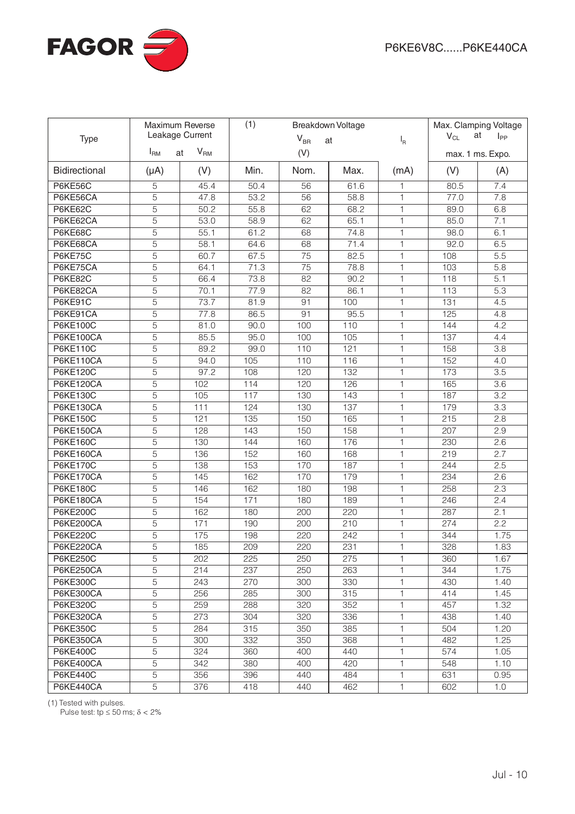

|                  |                | Maximum Reverse<br>Leakage Current |      | (1)<br>Breakdown Voltage |      |              | Max. Clamping Voltage<br>$V_{CL}$<br>at<br>$I_{PP}$ |                  |
|------------------|----------------|------------------------------------|------|--------------------------|------|--------------|-----------------------------------------------------|------------------|
| Type             | $I_{\rm RM}$   | $V_{\mathsf{RM}}$                  |      | $V_{BR}$                 | at   | $I_R$        |                                                     |                  |
|                  |                | at                                 |      | (V)                      |      |              |                                                     | max. 1 ms. Expo. |
| Bidirectional    | $(\mu A)$      | (V)                                | Min. | Nom.                     | Max. | (mA)         | (V)                                                 | (A)              |
| <b>P6KE56C</b>   | 5              | 45.4                               | 50.4 | 56                       | 61.6 | 1            | 80.5                                                | 7.4              |
| P6KE56CA         | 5              | 47.8                               | 53.2 | 56                       | 58.8 | $\mathbf{1}$ | 77.0                                                | 7.8              |
| P6KE62C          | 5              | 50.2                               | 55.8 | 62                       | 68.2 | $\mathbf{1}$ | 89.0                                                | 6.8              |
| P6KE62CA         | 5              | 53.0                               | 58.9 | 62                       | 65.1 | $\mathbf{1}$ | 85.0                                                | 7.1              |
| <b>P6KE68C</b>   | 5              | 55.1                               | 61.2 | 68                       | 74.8 | $\mathbf{1}$ | 98.0                                                | 6.1              |
| P6KE68CA         | 5              | 58.1                               | 64.6 | 68                       | 71.4 | $\mathbf{1}$ | 92.0                                                | 6.5              |
| <b>P6KE75C</b>   | 5              | 60.7                               | 67.5 | $\overline{75}$          | 82.5 | $\mathbf{1}$ | 108                                                 | $\overline{5.5}$ |
| P6KE75CA         | 5              | 64.1                               | 71.3 | 75                       | 78.8 | 1            | 103                                                 | 5.8              |
| <b>P6KE82C</b>   | 5              | 66.4                               | 73.8 | 82                       | 90.2 | 1            | 118                                                 | 5.1              |
| P6KE82CA         | 5              | 70.1                               | 77.9 | 82                       | 86.1 | 1            | 113                                                 | 5.3              |
| P6KE91C          | 5              | 73.7                               | 81.9 | 91                       | 100  | 1            | 131                                                 | 4.5              |
| P6KE91CA         | 5              | 77.8                               | 86.5 | 91                       | 95.5 | 1            | 125                                                 | 4.8              |
| P6KE100C         | 5              | 81.0                               | 90.0 | 100                      | 110  | $\mathbf{1}$ | 144                                                 | 4.2              |
| P6KE100CA        | 5              | 85.5                               | 95.0 | 100                      | 105  | $\mathbf{1}$ | 137                                                 | 4.4              |
| P6KE110C         | 5              | 89.2                               | 99.0 | 110                      | 121  | $\mathbf{1}$ | 158                                                 | 3.8              |
| P6KE110CA        | 5              | 94.0                               | 105  | 110                      | 116  | $\mathbf{1}$ | 152                                                 | 4.0              |
| <b>P6KE120C</b>  | 5              | 97.2                               | 108  | 120                      | 132  | 1            | 173                                                 | 3.5              |
| P6KE120CA        | 5              | 102                                | 114  | 120                      | 126  | 1            | 165                                                 | 3.6              |
| <b>P6KE130C</b>  | 5              | 105                                | 117  | 130                      | 143  | 1            | 187                                                 | 3.2              |
| P6KE130CA        | 5              | 111                                | 124  | 130                      | 137  | 1            | 179                                                 | 3.3              |
| <b>P6KE150C</b>  | 5              | 121                                | 135  | 150                      | 165  | 1            | 215                                                 | 2.8              |
| <b>P6KE150CA</b> | 5              | 128                                | 143  | 150                      | 158  | 1            | 207                                                 | 2.9              |
| <b>P6KE160C</b>  | 5              | 130                                | 144  | 160                      | 176  | 1            | 230                                                 | 2.6              |
| <b>P6KE160CA</b> | 5              | 136                                | 152  | 160                      | 168  | 1            | 219                                                 | 2.7              |
| <b>P6KE170C</b>  | 5              | 138                                | 153  | 170                      | 187  | 1            | 244                                                 | 2.5              |
| P6KE170CA        | 5              | 145                                | 162  | 170                      | 179  | 1            | 234                                                 | 2.6              |
| <b>P6KE180C</b>  | 5              | 146                                | 162  | 180                      | 198  | 1            | 258                                                 | 2.3              |
| <b>P6KE180CA</b> | 5              | 154                                | 171  | 180                      | 189  | $\mathbf{1}$ | 246                                                 | 2.4              |
| <b>P6KE200C</b>  | $\overline{5}$ | 162                                | 180  | 200                      | 220  | $\mathbf{1}$ | 287                                                 | 2.1              |
| <b>P6KE200CA</b> | 5              | 171                                | 190  | 200                      | 210  | $\mathbf{1}$ | 274                                                 | 2.2              |
| <b>P6KE220C</b>  | 5              | 175                                | 198  | 220                      | 242  | $\mathbf{1}$ | 344                                                 | 1.75             |
| P6KE220CA        | 5              | 185                                | 209  | 220                      | 231  | $\mathbf{1}$ | 328                                                 | 1.83             |
| <b>P6KE250C</b>  | 5              | 202                                | 225  | 250                      | 275  | 1            | 360                                                 | 1.67             |
| <b>P6KE250CA</b> | 5              | 214                                | 237  | 250                      | 263  | 1            | 344                                                 | 1.75             |
| <b>P6KE300C</b>  | 5              | 243                                | 270  | 300                      | 330  | 1            | 430                                                 | 1.40             |
| P6KE300CA        | 5              | 256                                | 285  | 300                      | 315  | $\mathbf{1}$ | 414                                                 | 1.45             |
| <b>P6KE320C</b>  | 5              | 259                                | 288  | 320                      | 352  | 1            | 457                                                 | 1.32             |
| <b>P6KE320CA</b> | 5              | 273                                | 304  | 320                      | 336  | 1            | 438                                                 | 1.40             |
| <b>P6KE350C</b>  | 5              | 284                                | 315  | 350                      | 385  | 1            | 504                                                 | 1.20             |
| <b>P6KE350CA</b> | 5              | 300                                | 332  | 350                      | 368  | 1            | 482                                                 | 1.25             |
| <b>P6KE400C</b>  | 5              | 324                                | 360  | 400                      | 440  | 1            | 574                                                 | 1.05             |
| P6KE400CA        | 5              | 342                                | 380  | 400                      | 420  | 1            | 548                                                 | 1.10             |
| <b>P6KE440C</b>  | 5              | 356                                | 396  | 440                      | 484  | 1            | 631                                                 | 0.95             |
| P6KE440CA        | 5              | 376                                | 418  | 440                      | 462  | 1            | 602                                                 | 1.0              |

(1) Tested with pulses.

Pulse test:  $tp \le 50$  ms;  $\delta < 2\%$